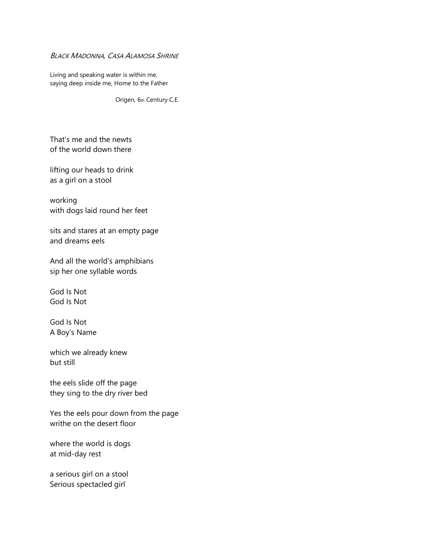## BLACK MADONNA, CASA ALAMOSA SHRINE

Living and speaking water is within me, saying deep inside me, Home to the Father

Origen, 6th Century C.E.

That's me and the newts of the world down there

lifting our heads to drink as a girl on a stool

working with dogs laid round her feet

sits and stares at an empty page and dreams eels

And all the world's amphibians sip her one syllable words

God Is Not God Is Not

God Is Not A Boy's Name

which we already knew but still

the eels slide off the page they sing to the dry river bed

Yes the eels pour down from the page writhe on the desert floor

where the world is dogs at mid-day rest

a serious girl on a stool Serious spectacled girl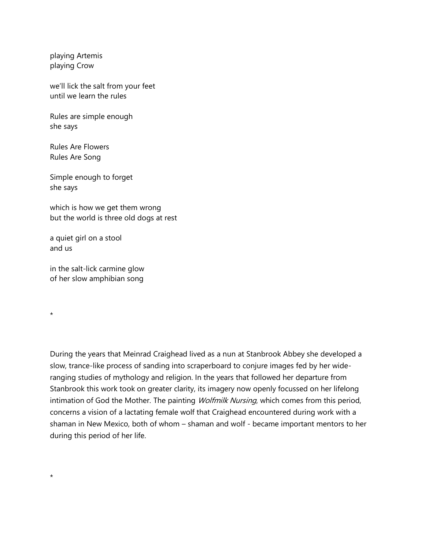playing Artemis playing Crow

we'll lick the salt from your feet until we learn the rules

Rules are simple enough she says

Rules Are Flowers Rules Are Song

Simple enough to forget she says

which is how we get them wrong but the world is three old dogs at rest

a quiet girl on a stool and us

in the salt-lick carmine glow of her slow amphibian song

\*

\*

During the years that Meinrad Craighead lived as a nun at Stanbrook Abbey she developed a slow, trance-like process of sanding into scraperboard to conjure images fed by her wideranging studies of mythology and religion. In the years that followed her departure from Stanbrook this work took on greater clarity, its imagery now openly focussed on her lifelong intimation of God the Mother. The painting *Wolfmilk Nursing*, which comes from this period, concerns a vision of a lactating female wolf that Craighead encountered during work with a shaman in New Mexico, both of whom – shaman and wolf - became important mentors to her during this period of her life.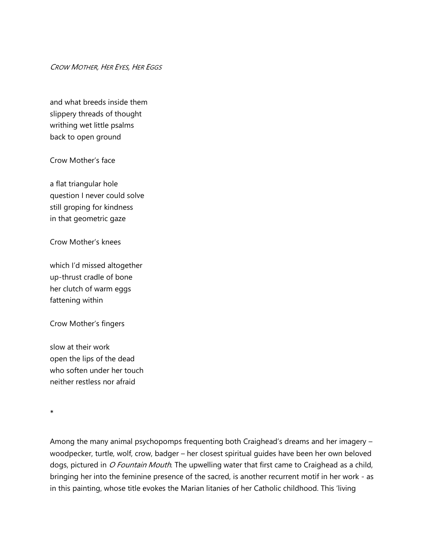CROW MOTHER, HER EYES, HER EGGS

and what breeds inside them slippery threads of thought writhing wet little psalms back to open ground

Crow Mother's face

a flat triangular hole question I never could solve still groping for kindness in that geometric gaze

Crow Mother's knees

which I'd missed altogether up-thrust cradle of bone her clutch of warm eggs fattening within

Crow Mother's fingers

slow at their work open the lips of the dead who soften under her touch neither restless nor afraid

\*

Among the many animal psychopomps frequenting both Craighead's dreams and her imagery – woodpecker, turtle, wolf, crow, badger – her closest spiritual guides have been her own beloved dogs, pictured in O Fountain Mouth. The upwelling water that first came to Craighead as a child, bringing her into the feminine presence of the sacred, is another recurrent motif in her work - as in this painting, whose title evokes the Marian litanies of her Catholic childhood. This 'living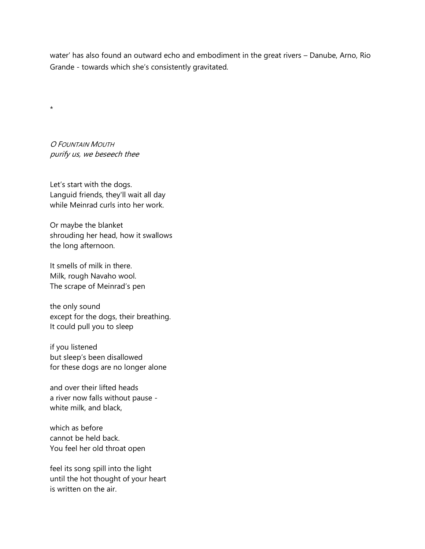water' has also found an outward echo and embodiment in the great rivers – Danube, Arno, Rio Grande - towards which she's consistently gravitated.

O FOUNTAIN MOUTH purify us, we beseech thee

\*

Let's start with the dogs. Languid friends, they'll wait all day while Meinrad curls into her work.

Or maybe the blanket shrouding her head, how it swallows the long afternoon.

It smells of milk in there. Milk, rough Navaho wool. The scrape of Meinrad's pen

the only sound except for the dogs, their breathing. It could pull you to sleep

if you listened but sleep's been disallowed for these dogs are no longer alone

and over their lifted heads a river now falls without pause white milk, and black,

which as before cannot be held back. You feel her old throat open

feel its song spill into the light until the hot thought of your heart is written on the air.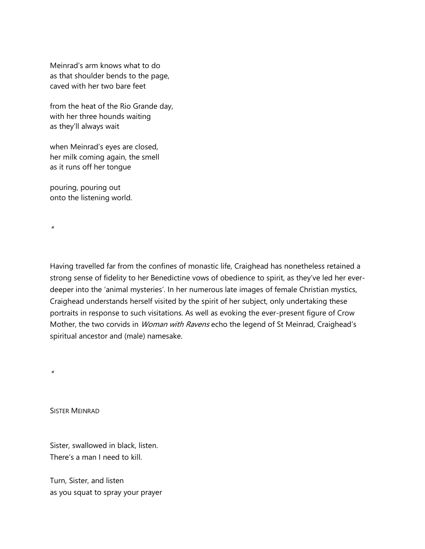Meinrad's arm knows what to do as that shoulder bends to the page, caved with her two bare feet

from the heat of the Rio Grande day, with her three hounds waiting as they'll always wait

when Meinrad's eyes are closed, her milk coming again, the smell as it runs off her tongue

pouring, pouring out onto the listening world.

Having travelled far from the confines of monastic life, Craighead has nonetheless retained a strong sense of fidelity to her Benedictine vows of obedience to spirit, as they've led her everdeeper into the 'animal mysteries'. In her numerous late images of female Christian mystics, Craighead understands herself visited by the spirit of her subject, only undertaking these portraits in response to such visitations. As well as evoking the ever-present figure of Crow Mother, the two corvids in *Woman with Ravens* echo the legend of St Meinrad, Craighead's spiritual ancestor and (male) namesake.

\*

\*

SISTER MEINRAD

Sister, swallowed in black, listen. There's a man I need to kill.

Turn, Sister, and listen as you squat to spray your prayer